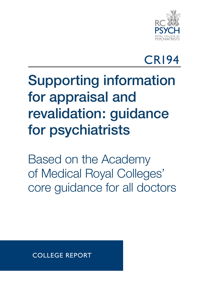

## CR194

## Supporting information for appraisal and revalidation: guidance for psychiatrists

Based on the Academy of Medical Royal Colleges' core guidance for all doctors

COLLEGE REPORT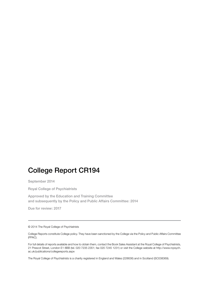## College Report CR194

September 2014

Royal College of Psychiatrists

Approved by the Education and Training Committee and subsequently by the Policy and Public Affairs Committee: 2014

Due for review: 2017

© 2014 The Royal College of Psychiatrists

College Reports constitute College policy. They have been sanctioned by the College via the Policy and Public Affairs Committee (PPAC).

For full details of reports available and how to obtain them, contact the Book Sales Assistant at the Royal College of Psychiatrists, 21 Prescot Street, London E1 8BB (tel. 020 7235 2351; fax 020 7245 1231) or visit the College website at http://www.rcpsych. ac.uk/publications/collegereports.aspx

The Royal College of Psychiatrists is a charity registered in England and Wales (228636) and in Scotland (SC038369).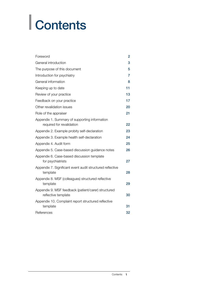# | Contents

| Foreword                                                                   | 2  |
|----------------------------------------------------------------------------|----|
| General introduction                                                       | 3  |
| The purpose of this document                                               | 5  |
| Introduction for psychiatry                                                | 7  |
| General information                                                        | 8  |
| Keeping up to date                                                         | 11 |
| Review of your practice                                                    | 13 |
| Feedback on your practice                                                  | 17 |
| Other revalidation issues                                                  | 20 |
| Role of the appraiser                                                      | 21 |
| Appendix 1. Summary of supporting information<br>required for revalidation | 22 |
| Appendix 2. Example probity self-declaration                               | 23 |
| Appendix 3. Example health self-declaration                                | 24 |
| Appendix 4. Audit form                                                     | 25 |
| Appendix 5. Case-based discussion guidance notes                           | 26 |
| Appendix 6. Case-based discussion template<br>for psychiatrists            | 27 |
| Appendix 7. Significant event audit structured reflective<br>template      | 28 |
| Appendix 8. MSF (colleagues) structured reflective<br>template             | 29 |
| Appendix 9. MSF feedback (patient/carer) structured<br>reflective template | 30 |
| Appendix 10. Complaint report structured reflective<br>template            | 31 |
| References                                                                 | 32 |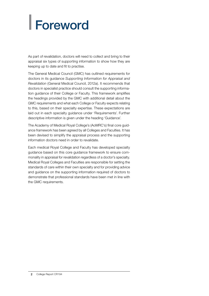# <span id="page-3-0"></span>| Foreword

As part of revalidation, doctors will need to collect and bring to their appraisal six types of supporting information to show how they are keeping up to date and fit to practise.

The General Medical Council (GMC) has outlined requirements for doctors in its guidance *Supporting Information for Appraisal and Revalidation* (General Medical Council, 2012a). It recommends that doctors in specialist practice should consult the supporting information guidance of their College or Faculty. This framework amplifies the headings provided by the GMC with additional detail about the GMC requirements and what each College or Faculty expects relating to this, based on their specialty expertise. These expectations are laid out in each specialty guidance under 'Requirements'. Further descriptive information is given under the heading 'Guidance'.

The Academy of Medical Royal College's (AoMRC's) final core guidance framework has been agreed by all Colleges and Faculties. It has been devised to simplify the appraisal process and the supporting information doctors need in order to revalidate.

Each medical Royal College and Faculty has developed specialty guidance based on this core guidance framework to ensure commonality in appraisal for revalidation regardless of a doctor's specialty. Medical Royal Colleges and Faculties are responsible for setting the standards of care within their own specialty and for providing advice and guidance on the supporting information required of doctors to demonstrate that professional standards have been met in line with the GMC requirements.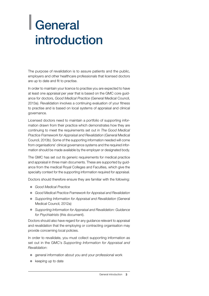## <span id="page-4-0"></span>| General introduction

The purpose of revalidation is to assure patients and the public, employers and other healthcare professionals that licensed doctors are up to date and fit to practise.

In order to maintain your licence to practise you are expected to have at least one appraisal per year that is based on the GMC core guidance for doctors, *Good Medical Practice* (General Medical Council, 2013a). Revalidation involves a continuing evaluation of your fitness to practise and is based on local systems of appraisal and clinical governance.

Licensed doctors need to maintain a portfolio of supporting information drawn from their practice which demonstrates how they are continuing to meet the requirements set out in *The Good Medical Practice Framework for Appraisal and Revalidation* (General Medical Council, 2013b). Some of the supporting information needed will come from organisations' clinical governance systems and the required information should be made available by the employer or designated body.

The GMC has set out its generic requirements for medical practice and appraisal in three main documents. These are supported by guidance from the medical Royal Colleges and Faculties, which give the specialty context for the supporting information required for appraisal.

Doctors should therefore ensure they are familiar with the following:

- **Good Medical Practice**
- **Good Medical Practice Framework for Appraisal and Revalidation**
- **•** Supporting Information for Appraisal and Revalidation (General Medical Council, 2012a)
- **Supporting Information for Appraisal and Revalidation: Guidance** *for Psychiatrists* (this document).

Doctors should also have regard for any guidance relevant to appraisal and revalidation that the employing or contracting organisation may provide concerning local policies.

In order to revalidate, you must collect supporting information as set out in the GMC's *Supporting Information for Appraisal and Revalidation*:

- general information about you and your professional work
- keeping up to date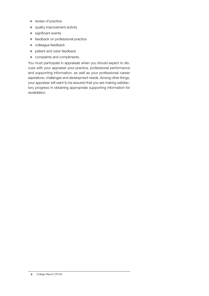- $\bullet$  review of practice
- **•** quality improvement activity
- significant events
- **•** feedback on professional practice
- $\bullet$  colleague feedback
- patient and carer feedback
- complaints and compliments.

You must participate in appraisals when you should expect to discuss with your appraiser your practice, professional performance and supporting information, as well as your professional career aspirations, challenges and development needs. Among other things, your appraiser will want to be assured that you are making satisfactory progress in obtaining appropriate supporting information for revalidation.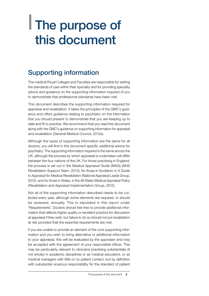## <span id="page-6-0"></span>| The purpose of this document

## Supporting information

The medical Royal Colleges and Faculties are responsible for setting the standards of care within their specialty and for providing specialty advice and guidance on the supporting information required of you to demonstrate that professional standards have been met.

This document describes the supporting information required for appraisal and revalidation. It takes the principles of the GMC's guidance and offers guidance relating to psychiatry on the information that you should present to demonstrate that you are keeping up to date and fit to practise. We recommend that you read this document along with the GMC's guidance on supporting information for appraisal and revalidation (General Medical Council, 2012a).

Although the types of supporting information are the same for all doctors, you will find in this document specific additional advice for psychiatry. The supporting information required is the same across the UK, although the process by which appraisal is undertaken will differ between the four nations of the UK. For those practising in England, the process is set out in the *Medical Appraisal Guide* (MAG) (NHS Revalidation Support Team, 2013); for those in Scotland, in *A Guide to Appraisal for Medical Revalidation* (National Appraisal Leads Group, 2012); and for those in Wales, in the *All Wales Medical Appraisal Policy* (Revalidation and Appraisal Implementation Group, 2012).

Not all of the supporting information described needs to be collected every year, although some elements are required, or should be reviewed, annually. This is stipulated in this report under 'Requirements'. Doctors should feel free to provide additional information that reflects higher quality or excellent practice for discussion at appraisal if they wish, but failure to do so should not put revalidation at risk provided that the essential requirements are met.

If you are unable to provide an element of the core supporting information and you wish to bring alternative or additional information to your appraisal, this will be evaluated by the appraiser and may be accepted with the agreement of your responsible officer. This may be particularly relevant to clinicians practising substantially (if not wholly) in academic disciplines or as medical educators, or as medical managers with little or no patient contact, but by definition with substantial vicarious responsibility for the standard of patient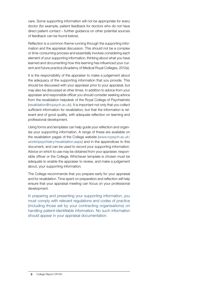care. Some supporting information will not be appropriate for every doctor (for example, patient feedback for doctors who do not have direct patient contact – further guidance on other potential sources of feedback can be found below).

Reflection is a common theme running through the supporting information and the appraisal discussion. This should not be a complex or time-consuming process and essentially involves considering each element of your supporting information, thinking about what you have learned and documenting how this learning has influenced your current and future practice (Academy of Medical Royal Colleges, 2012a).

It is the responsibility of the appraiser to make a judgement about the adequacy of the supporting information that you provide. This should be discussed with your appraiser prior to your appraisal, but may also be discussed at other times. In addition to advice from your appraiser and responsible officer you should consider seeking advice from the revalidation helpdesk of the Royal College of Psychiatrists (revalidation@rcpsych.ac.uk). It is important not only that you collect sufficient information for revalidation, but that the information is relevant and of good quality, with adequate reflection on learning and professional development.

Using forms and templates can help guide your reflection and organise your supporting information. A range of these are available on the revalidation pages of the College website (www.rcpsych.ac.uk/ workinpsychiatry/revalidation.aspx) and in the appendices to this document, and can be used to record your supporting information. Advice on which to use may be obtained from your appraiser, responsible officer or the College. Whichever template is chosen must be adequate to enable the appraiser to review, and make a judgement about, your supporting information.

The College recommends that you prepare early for your appraisal and for revalidation. Time spent on preparation and reflection will help ensure that your appraisal meeting can focus on your professional development.

In preparing and presenting your supporting information, you must comply with relevant regulations and codes of practice (including those set by your contracting organisations) on handling patient-identifiable information. No such information should appear in your appraisal documentation.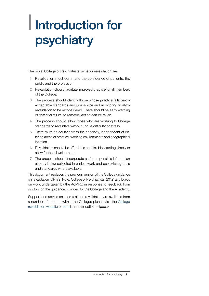## <span id="page-8-0"></span>| Introduction for psychiatry

The Royal College of Psychiatrists' aims for revalidation are:

- 1 Revalidation must command the confidence of patients, the public and the profession.
- 2 Revalidation should facilitate improved practice for all members of the College.
- 3 The process should identify those whose practice falls below acceptable standards and give advice and monitoring to allow revalidation to be reconsidered. There should be early warning of potential failure so remedial action can be taken.
- 4 The process should allow those who are working to College standards to revalidate without undue difficulty or stress.
- 5 There must be equity across the specialty, independent of differing areas of practice, working environments and geographical location.
- 6 Revalidation should be affordable and flexible, starting simply to allow further development.
- 7 The process should incorporate as far as possible information already being collected in clinical work and use existing tools and standards where available.

This document replaces the previous version of the College guidance on revalidation (CR172; Royal College of Psychiatrists, 2012) and builds on work undertaken by the AoMRC in response to feedback from doctors on the guidance provided by the College and the Academy.

Support and advice on appraisal and revalidation are available from a number of sources within the College; please visit the [College](http://www.rcpsych.ac.uk/workinpsychiatry/revalidation.aspx) [revalidation website](http://www.rcpsych.ac.uk/workinpsychiatry/revalidation.aspx) or [email](mailto:revalidation%40rcpsych.ac.uk?subject=Re%3A%20Support%20on%20appraisal%20and%20revalidation) the revalidation helpdesk.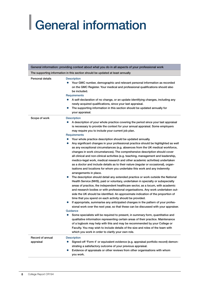# <span id="page-9-0"></span>| General information

|                                                                                | General information: providing context about what you do in all aspects of your professional work                                                                                                                                                                                                                                                                                                                                                                                                                                                                                                                                                                                                                                                                                                                                                                                                                                                                                                                                                                                                                                                                                                                                                                                                                                                                                                                                                                                                                                                                                                                                                                                                                                                                                                                                                                                                                                                                                  |  |  |
|--------------------------------------------------------------------------------|------------------------------------------------------------------------------------------------------------------------------------------------------------------------------------------------------------------------------------------------------------------------------------------------------------------------------------------------------------------------------------------------------------------------------------------------------------------------------------------------------------------------------------------------------------------------------------------------------------------------------------------------------------------------------------------------------------------------------------------------------------------------------------------------------------------------------------------------------------------------------------------------------------------------------------------------------------------------------------------------------------------------------------------------------------------------------------------------------------------------------------------------------------------------------------------------------------------------------------------------------------------------------------------------------------------------------------------------------------------------------------------------------------------------------------------------------------------------------------------------------------------------------------------------------------------------------------------------------------------------------------------------------------------------------------------------------------------------------------------------------------------------------------------------------------------------------------------------------------------------------------------------------------------------------------------------------------------------------------|--|--|
| The supporting information in this section should be updated at least annually |                                                                                                                                                                                                                                                                                                                                                                                                                                                                                                                                                                                                                                                                                                                                                                                                                                                                                                                                                                                                                                                                                                                                                                                                                                                                                                                                                                                                                                                                                                                                                                                                                                                                                                                                                                                                                                                                                                                                                                                    |  |  |
| <b>Personal details</b>                                                        | <b>Description</b><br>Your GMC number, demographic and relevant personal information as recorded<br>$\bullet$<br>on the GMC Register. Your medical and professional qualifications should also<br>be included.<br>Requirements<br>A self-declaration of no change, or an update identifying changes, including any<br>$\bullet$<br>newly acquired qualifications, since your last appraisal.<br>The supporting information in this section should be updated annually for<br>$\bullet$<br>your appraisal.                                                                                                                                                                                                                                                                                                                                                                                                                                                                                                                                                                                                                                                                                                                                                                                                                                                                                                                                                                                                                                                                                                                                                                                                                                                                                                                                                                                                                                                                          |  |  |
| Scope of work                                                                  | <b>Description</b><br>A description of your whole practice covering the period since your last appraisal<br>$\bullet$<br>is necessary to provide the context for your annual appraisal. Some employers<br>may require you to include your current job plan.<br>Requirements<br>Your whole practice description should be updated annually.<br>$\bullet$<br>Any significant changes in your professional practice should be highlighted as well<br>$\bullet$<br>as any exceptional circumstances (e.g. absences from the UK medical workforce,<br>changes in work circumstances). The comprehensive description should cover<br>all clinical and non-clinical activities (e.g. teaching, management and leadership,<br>medico-legal work, medical research and other academic activities) undertaken<br>as a doctor and include details as to their nature (regular or occasional), organ-<br>isations and locations for whom you undertake this work and any indemnity<br>arrangements in place.<br>The description should detail any extended practice or work outside the National<br>$\bullet$<br>Health Service (NHS), paid or voluntary, undertaken in specialty or subspecialty<br>areas of practice, the independent healthcare sector, as a locum, with academic<br>and research bodies or with professional organisations. Any work undertaken out-<br>side the UK should be identified. An approximate indication of the proportion of<br>time that you spend on each activity should be provided.<br>If appropriate, summarise any anticipated changes in the pattern of your profes-<br>$\bullet$<br>sional work over the next year, so that these can be discussed with your appraiser.<br>Guidance<br>Some specialists will be required to present, in summary form, quantitative and<br>$\bullet$<br>qualitative information representing certain areas of their practice. Maintenance<br>of a logbook may help with this and may be recommended by your College or |  |  |
|                                                                                | Faculty. You may wish to include details of the size and roles of the team with<br>which you work in order to clarify your own role.                                                                                                                                                                                                                                                                                                                                                                                                                                                                                                                                                                                                                                                                                                                                                                                                                                                                                                                                                                                                                                                                                                                                                                                                                                                                                                                                                                                                                                                                                                                                                                                                                                                                                                                                                                                                                                               |  |  |
| Record of annual<br>appraisal                                                  | <b>Description</b><br>Signed-off 'Form 4' or equivalent evidence (e.g. appraisal portfolio record) demon-<br>$\bullet$<br>strating a satisfactory outcome of your previous appraisal.<br>Evidence of appraisals or other reviews from other organisations with whom<br>$\bullet$<br>you work.                                                                                                                                                                                                                                                                                                                                                                                                                                                                                                                                                                                                                                                                                                                                                                                                                                                                                                                                                                                                                                                                                                                                                                                                                                                                                                                                                                                                                                                                                                                                                                                                                                                                                      |  |  |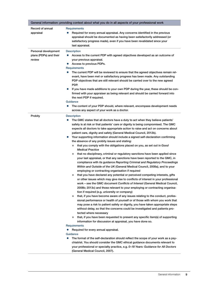| Record of annual<br>appraisal                            | <b>Requirements</b><br>Required for every annual appraisal. Any concerns identified in the previous<br>0<br>appraisal should be documented as having been satisfactorily addressed (or<br>satisfactory progress made), even if you have been revalidated since your<br>last appraisal.                                                                                                                                                                                                                                                                                                                                                                                                                                                                                                                                                                                                                                                                                                                                                                                                                                                                                                                                                                                                                                                                                                                                                                                                                                                                                                                                                                                                                                                                                                                                                                                                                                                                                                                                                                                                                                                                                                                                                                                                                                     |
|----------------------------------------------------------|----------------------------------------------------------------------------------------------------------------------------------------------------------------------------------------------------------------------------------------------------------------------------------------------------------------------------------------------------------------------------------------------------------------------------------------------------------------------------------------------------------------------------------------------------------------------------------------------------------------------------------------------------------------------------------------------------------------------------------------------------------------------------------------------------------------------------------------------------------------------------------------------------------------------------------------------------------------------------------------------------------------------------------------------------------------------------------------------------------------------------------------------------------------------------------------------------------------------------------------------------------------------------------------------------------------------------------------------------------------------------------------------------------------------------------------------------------------------------------------------------------------------------------------------------------------------------------------------------------------------------------------------------------------------------------------------------------------------------------------------------------------------------------------------------------------------------------------------------------------------------------------------------------------------------------------------------------------------------------------------------------------------------------------------------------------------------------------------------------------------------------------------------------------------------------------------------------------------------------------------------------------------------------------------------------------------------|
| Personal development<br>plans (PDPs) and their<br>review | <b>Description</b><br>Access to the current PDP with agreed objectives developed as an outcome of<br>$\bullet$<br>your previous appraisal.<br>Access to previous PDPs.<br>$\bullet$<br>Requirements<br>The current PDP will be reviewed to ensure that the agreed objectives remain rel-<br>$\bullet$<br>evant, have been met or satisfactory progress has been made. Any outstanding<br>PDP objectives that are still relevant should be carried over to the new agreed<br>PDP.<br>If you have made additions to your own PDP during the year, these should be con-<br>$\bullet$<br>firmed with your appraiser as being relevant and should be carried forward into<br>the next PDP if required.<br>Guidance<br>The content of your PDP should, where relevant, encompass development needs<br>$\bullet$<br>across any aspect of your work as a doctor.                                                                                                                                                                                                                                                                                                                                                                                                                                                                                                                                                                                                                                                                                                                                                                                                                                                                                                                                                                                                                                                                                                                                                                                                                                                                                                                                                                                                                                                                   |
| Probity                                                  | <b>Description</b><br>The GMC states that all doctors have a duty to act when they believe patients'<br>$\bullet$<br>safety is at risk or that patients' care or dignity is being compromised. The GMC<br>expects all doctors to take appropriate action to raise and act on concerns about<br>patient care, dignity and safety (General Medical Council, 2012b).<br>Your supporting information should include a signed self-declaration confirming<br>the absence of any probity issues and stating:<br>that you comply with the obligations placed on you, as set out in Good<br>$\bullet$<br><b>Medical Practice</b><br>that no disciplinary, criminal or regulatory sanctions have been applied since<br>$\bullet$<br>your last appraisal, or that any sanctions have been reported to the GMC, in<br>compliance with its guidance Reporting Criminal and Regulatory Proceedings<br>Within and Outside of the UK (General Medical Council, 2008a), and to your<br>employing or contracting organisation if required<br>that you have declared any potential or perceived competing interests, gifts<br>$\bullet$<br>or other issues which may give rise to conflicts of interest in your professional<br>work – see the GMC document Conflicts of Interest (General Medical Council,<br>2008b; 2013c) and those relevant to your employing or contracting organisa-<br>tion if required (e.g. university or company)<br>that, if you have become aware of any issues relating to the conduct, profes-<br>$\bullet$<br>sional performance or health of yourself or of those with whom you work that<br>may pose a risk to patient safety or dignity, you have taken appropriate steps<br>without delay, so that the concerns could be investigated and patients pro-<br>tected where necessary<br>that, if you have been requested to present any specific item(s) of supporting<br>$\bullet$<br>information for discussion at appraisal, you have done so.<br>Requirements<br>Required for every annual appraisal.<br>$\bullet$<br>Guidance<br>The format of the self-declaration should reflect the scope of your work as a psy-<br>$\bullet$<br>chiatrist. You should consider the GMC ethical guidance documents relevant to<br>your professional or specialty practice, e.g. 0-18 Years: Guidance for All Doctors |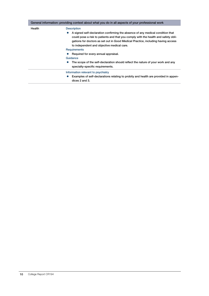|        | General information: providing context about what you do in all aspects of your professional work                                                                                                                                                                                                                                                                                                                                                                                                                                            |
|--------|----------------------------------------------------------------------------------------------------------------------------------------------------------------------------------------------------------------------------------------------------------------------------------------------------------------------------------------------------------------------------------------------------------------------------------------------------------------------------------------------------------------------------------------------|
| Health | <b>Description</b><br>A signed self-declaration confirming the absence of any medical condition that<br>$\bullet$<br>could pose a risk to patients and that you comply with the health and safety obli-<br>gations for doctors as set out in Good Medical Practice, including having access<br>to independent and objective medical care.<br><b>Requirements</b><br>Required for every annual appraisal.<br>Guidance<br>The scope of the self-declaration should reflect the nature of your work and any<br>specialty-specific requirements. |
|        | Information relevant to psychiatry<br>Examples of self-declarations relating to probity and health are provided in appen-<br>dices 2 and 3.                                                                                                                                                                                                                                                                                                                                                                                                  |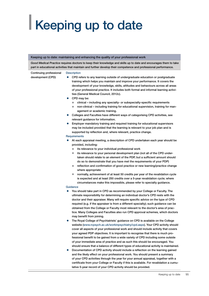# <span id="page-12-0"></span>| Keeping up to date

#### Keeping up to date: maintaining and enhancing the quality of your professional work

*Good Medical Practice* requires doctors to keep their knowledge and skills up to date and encourages them to take part in educational activities that maintain and further develop their competence and professional performance.

#### **Description**

- Continuing professional development (CPD)
- CPD refers to any learning outside of undergraduate education or postgraduate training which helps you maintain and improve your performance. It covers the development of your knowledge, skills, attitudes and behaviours across all areas of your professional practice. It includes both formal and informal learning activities (General Medical Council, 2012c).
- CPD may be:
	- clinical including any specialty- or subspecialty-specific requirements
	- non-clinical including training for educational supervision, training for management or academic training.
- Colleges and Faculties have different ways of categorising CPD activities, see relevant guidance for information.
- Employer mandatory training and required training for educational supervisors may be included provided that the learning is relevant to your job plan and is supported by reflection and, where relevant, practice change.

#### **Requirements**

- At each appraisal meeting, a description of CPD undertaken each year should be provided, including:
	- its relevance to your individual professional work
	- $\bullet$  its relevance to your personal development plan (not all of the CPD undertaken should relate to an element of the PDP, but a sufficient amount should do so to demonstrate that you have met the requirements of your PDP)
	- reflection and confirmation of good practice or new learning/practice change where appropriate
	- **•** normally, achievement of at least 50 credits per year of the revalidation cycle is expected and at least 250 credits over a 5-year revalidation cycle; where circumstances make this impossible, please refer to specialty guidance.

#### **Guidance**

- You should take part in CPD as recommended by your College or Faculty. The ultimate responsibility for determining an individual doctor's CPD rests with the doctor and their appraiser. Many will require specific advice on the type of CPD required (e.g. if the appraiser is from a different specialty); such guidance can be obtained from the College or Faculty most relevant to the doctor's area of practice. Many Colleges and Faculties also run CPD approval schemes, which doctors may benefit from joining.
- The Royal College of Psychiatrists' guidance on CPD is available on the College website (www.rcpsych.ac.uk/workinpsychiatry/cpd.aspx). Your CPD activity should cover all aspects of your professional work and should include activity that covers your agreed PDP objectives. It is important to recognise that there is much professional benefit to be gained from a wide variety of CPD including some outside of your immediate area of practice and as such this should be encouraged. You should ensure that a balance of different types of educational activity is maintained.
- Documentation of CPD activity should include a reflection on the learning gained and the likely effect on your professional work. You should present a summary of your CPD activities through the year for your annual appraisal, together with a certificate from your College or Faculty if this is available. For revalidation a cumulative 5-year record of your CPD activity should be provided.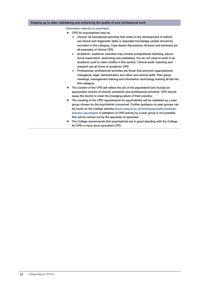#### Keeping up to date: maintaining and enhancing the quality of your professional work

#### Information relevant to psychiatry

- $\bullet$  CPD for psychiatrists may be:
	- Clinical: all educational activities that relate to the development of individual clinical and diagnostic skills or specialist knowledge update should be recorded in this category. Case-based discussions, lectures and seminars are all examples of clinical CPD.
	- Academic: academic activities may include postgraduate teaching, educational supervision, examining and publishing. You do not need to work in an academic post to claim credits in this section. Clinical audit, teaching and research are all forms of academic CPD.
	- Professional: professional activities are those that promote organisational, managerial, legal, administrative and other non-clinical skills. Peer group meetings, management training and information technology training all fall into this category.
- The content of the CPD will reflect the job of the psychiatrist and include an appropriate mixture of clinical, academic and professional activities. CPD should equip the doctor to meet the changing nature of their practice.
- The meeting of the CPD requirements for psychiatrists will be validated by a peer group chosen by the psychiatrist concerned. Further guidance on peer groups can be found on the College website (www.rcpsych.ac.uk/workinpsychiatry/cpd/pdppractice.aspx#peer). If validation of CPD activity by a peer group is not possible, this will be carried out by the appraiser at appraisal.
- The College recommends that psychiatrists are in good standing with the College for CPD or have done equivalent CPD.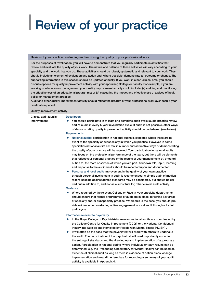## <span id="page-14-0"></span>**Review of your practice**

#### Review of your practice: evaluating and improving the quality of your professional work

For the purposes of revalidation, you will have to demonstrate that you regularly participate in activities that review and evaluate the quality of your work. The nature and balance of these activities will vary according to your specialty and the work that you do. These activities should be robust, systematic and relevant to your work. They should include an element of evaluation and action and, where possible, demonstrate an outcome or change. The supporting information in this section should be updated annually. If you work in a non-clinical area, you should discuss options for quality improvement activity with your appraiser, College or Faculty. For example, if you are working in education or management, your quality improvement activity could include: (a) auditing and monitoring the effectiveness of an educational programme; or (b) evaluating the impact and effectiveness of a piece of health policy or management practice.

Audit and other quality improvement activity should reflect the breadth of your professional work over each 5-year revalidation period.

#### Quality improvement activity

Clinical audit (quality improvement)

#### **Description**

- You should participate in at least one complete audit cycle (audit, practice review and re-audit) in every 5-year revalidation cycle. If audit is not possible, other ways of demonstrating quality improvement activity should be undertaken (see below). **Requirements**
- National audits: participation in national audits is expected where these are relevant to the specialty or subspecialty in which you practise. However, in some specialties national audits are few in number and alternative ways of demonstrating the quality of your practice will be required. Your participation in national audits may focus on the professional performance of the team, but there will be elements that reflect your personal practice or the results of your management of, or contribution to, the team or service of which you are part. Your own role, input, learning and response to the audit results should be reflected upon and documented.
- Personal and local audit: improvement in the quality of your own practice through personal involvement in audit is recommended. A simple audit of medical record-keeping against agreed standards may be considered, but should be carried out in addition to, and not as a substitute for, other clinical audit activity.

#### Guidance

Where required by the relevant College or Faculty, your specialty departments should ensure that formal programmes of audit are in place, reflecting key areas of specialty and/or subspecialty practice. Where this is the case, you should provide evidence demonstrating active engagement in local audit throughout a full audit cycle.

#### Information relevant to psychiatry

- **•** In the Royal College of Psychiatrists, relevant national audits are coordinated by the College Centre for Quality Improvement (CCQI) or the National Confidential Inquiry into Suicide and Homicide by People with Mental Illness (NCISH) .
- It will often be the case that the psychiatrist will work with others to undertake the audit. The participation of the psychiatrist will most importantly occur in the setting of standards and the drawing up and implementation of appropriate action. Participation in national audits (where individual or team results can be determined, e.g. the Prescribing Observatory for Mental Health) can be used as evidence of clinical audit as long as there is evidence of action plans, change implementation and re-audit. A template for recording a summary of your audit activity is available in Appendix 4.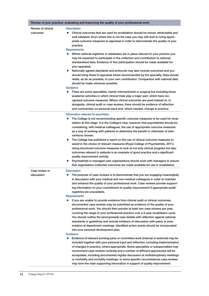|                                | Review of your practice: evaluating and improving the quality of your professional work                                                                                                                                                                                                                                                                                                                                                                                                                                                                                                                                                                                                                                                                                                                                                                                                                                                                                                                                                                                                                                                                                                                                                                                     |
|--------------------------------|-----------------------------------------------------------------------------------------------------------------------------------------------------------------------------------------------------------------------------------------------------------------------------------------------------------------------------------------------------------------------------------------------------------------------------------------------------------------------------------------------------------------------------------------------------------------------------------------------------------------------------------------------------------------------------------------------------------------------------------------------------------------------------------------------------------------------------------------------------------------------------------------------------------------------------------------------------------------------------------------------------------------------------------------------------------------------------------------------------------------------------------------------------------------------------------------------------------------------------------------------------------------------------|
| Review of clinical<br>outcomes | <b>Description</b><br>Clinical outcomes that are used for revalidation should be robust, attributable and<br>well validated. Even where this is not the case you may still wish to bring appro-<br>priate outcome measures to appraisal in order to demonstrate the quality of your<br>practice.<br>Requirements<br>Where national registries or databases are in place relevant to your practice you<br>may be expected to participate in the collection and contribution to national,<br>standardised data. Evidence of this participation should be made available for<br>your appraisal.<br>Nationally agreed standards and protocols may also include outcomes and you<br>$\bullet$<br>should bring these to appraisal where recommended by the specialty. Data should<br>relate, as far as possible, to your own contribution. Comparison with national data<br>should be made wherever possible.<br>Guidance<br>There are some specialties, mainly interventionist or surgical but including those<br>$\bullet$<br>academic activities in which clinical trials play a major part, which have rec-<br>ognised outcome measures. Where clinical outcomes are used instead of, or<br>alongside, clinical audit or case reviews, there should be evidence of reflection |
|                                | and commentary on personal input and, where needed, change in practice.<br>Information relevant to psychiatry<br>The College is not recommending specific outcome measures to be used for reval-<br>$\bullet$<br>idation at this stage. It is the College's view, however, that psychiatrists should be<br>considering, with medical colleagues, the use of appropriate outcome measures<br>as a way of working with patients to determine the benefit or otherwise of inter-<br>ventions chosen.<br>The College has published a report on the use of clinical outcome measures to<br>$\bullet$<br>assist in the choice of relevant measures (Royal College of Psychiatrists, 2011).<br>Using structured outcome measures to look at not only clinical progress but also<br>outcomes relevant to patients is an example of good practice and a significant<br>quality improvement activity.<br>Psychiatrists in managed-care organisations should work with managers to ensure<br>that organisation-collected outcomes are made available for use in revalidation.                                                                                                                                                                                                          |
| Case review or<br>discussion   | <b>Description</b><br>The purpose of case reviews is to demonstrate that you are engaging meaningfully<br>$\bullet$<br>in discussion with your medical and non-medical colleagues in order to maintain<br>and enhance the quality of your professional work. Case reviews provide support-<br>ing information on your commitment to quality improvement if appropriate audit/<br>registries are unavailable.<br>Requirements<br>If you are unable to provide evidence from clinical audit or clinical outcomes,<br>$\bullet$<br>documented case reviews may be submitted as evidence of the quality of your<br>professional work. You should then provide at least two case reviews per year,<br>covering the range of your professional practice over a 5-year revalidation cycle.<br>You should outline the (anonymised) case details with reflection against national<br>standards or guidelines and include evidence of discussion with peers or pres-<br>entation at department meetings. Identified action points should be incorporated<br>into your personal development plan.<br>Guidance<br>Evidence of relevant working party or committee work (internal or external) may be<br>$\bullet$                                                                       |
|                                | included together with your personal input and reflection, including implementation<br>of changes in practice, where appropriate. Some specialties or subspecialties may<br>recommend case reviews routinely and a number of different approaches will be<br>acceptable, including documented regular discussion at multidisciplinary meetings<br>or morbidity and mortality meetings. In some specific circumstances case reviews<br>may form the main supporting information in support of quality improvement.                                                                                                                                                                                                                                                                                                                                                                                                                                                                                                                                                                                                                                                                                                                                                           |

г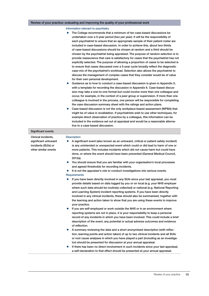### Review of your practice: evaluating and improving the quality of your professional work

Information relevant to psychiatry

The College recommends that a minimum of ten case-based discussions be undertaken over a 5-year period (two per year). It will be the responsibility of each psychiatrist to ensure that an appropriate sample of their patient roster are included in case-based discussion. In order to achieve this, about two-thirds of case-based discussions should be chosen at random and a third should be chosen by the psychiatrist being appraised. The purpose of random selection is to provide reassurance that care is satisfactory for cases that the psychiatrist has not explicitly selected. The purpose of allowing a proportion of cases to be selected is to ensure that cases discussed over a 5-year cycle broadly reflect the diagnostic case-mix of the psychiatrist's workload. Selection also allows the psychiatrist to discuss the management of complex cases that they consider would be of value for their own personal development. Guidance as to how to conduct a case-based discussion is given in Appendix 5, with a template for recording the discussion in Appendix 6. Case-based discussion may take a one-to-one format but could involve more than one colleague and occur, for example, in the context of a peer group or supervision. If more than one colleague is involved in the process, one person will be responsible for completing the case discussion summary sheet with the ratings and action plans. Case-based discussion is not the only workplace-based assessment (WPBA) that might be of value in revalidation. If psychiatrists wish to use other techniques, for example direct observation of practice by a colleague, this information can be included in the evidence set out at appraisal and would be a reasonable alternative to a case-based discussion. Significant events Clinical incidents, significant untoward incidents (SUIs) or other similar events **Description** A significant event (also known as an untoward, critical or patient safety incident) is any unintended or unexpected event which could or did lead to harm of one or more patients. This includes incidents which did not cause harm but could have done, or where the event should have been prevented (General Medical Council, 2012a). You should ensure that you are familiar with your organisation's local processes and agreed thresholds for recording incidents. It is not the appraiser's role to conduct investigations into serious events. **Requirements** If you have been directly involved in any SUIs since your last appraisal, you must provide details based on data logged by you or on local (e.g. your NHS employer where such data should be routinely collected) or national (e.g. National Reporting and Learning System) incident reporting systems. If you have been directly involved in any clinical incidents, these should also be summarised, together with the learning and action taken to show that you are using these events to improve your practice. If you are self-employed or work outside the NHS or in an environment where reporting systems are not in place, it is your responsibility to keep a personal record of any incidents in which you have been involved. This could include a brief description of the event, any potential or actual adverse outcomes and evidence of reflection. A summary reviewing the data and a short anonymised description (with reflection, learning points and action taken) of up to two clinical incidents and all SUIs or root cause analyses in which you have played a part (including as an investigator) should be presented for discussion at your annual appraisal. If there has been no direct involvement in such incidents since your last appraisal, a self-declaration to that effect should be presented at your annual appraisal.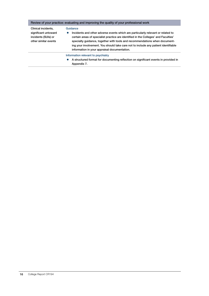### Review of your practice: evaluating and improving the quality of your professional work

Clinical incidents, significant untoward incidents (SUIs) or other similar events

#### **Guidance**

**•** Incidents and other adverse events which are particularly relevant or related to certain areas of specialist practice are identified in the Colleges' and Faculties' specialty guidance, together with tools and recommendations when documenting your involvement. You should take care not to include any patient identifiable information in your appraisal documentation.

Information relevant to psychiatry

**•** A structured format for documenting reflection on significant events in provided in Appendix 7.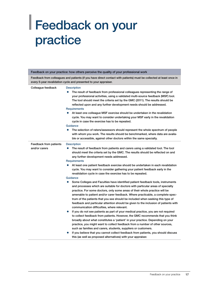## <span id="page-18-0"></span>| Feedback on your practice

|                                         | Feedback on your practice: how others perceive the quality of your professional work                                                                                                                                                                                                                                                                                                                                                                                                                                                                                                                                                                                                                                                                                                                                                                                               |
|-----------------------------------------|------------------------------------------------------------------------------------------------------------------------------------------------------------------------------------------------------------------------------------------------------------------------------------------------------------------------------------------------------------------------------------------------------------------------------------------------------------------------------------------------------------------------------------------------------------------------------------------------------------------------------------------------------------------------------------------------------------------------------------------------------------------------------------------------------------------------------------------------------------------------------------|
|                                         | Feedback from colleagues and patients (if you have direct contact with patients) must be collected at least once in<br>every 5-year revalidation cycle and presented to your appraiser.                                                                                                                                                                                                                                                                                                                                                                                                                                                                                                                                                                                                                                                                                            |
| Colleague feedback                      | <b>Description</b><br>The result of feedback from professional colleagues representing the range of<br>your professional activities, using a validated multi-source feedback (MSF) tool.<br>The tool should meet the criteria set by the GMC (2011). The results should be<br>reflected upon and any further development needs should be addressed.<br><b>Requirements</b><br>• At least one colleague MSF exercise should be undertaken in the revalidation<br>cycle. You may want to consider undertaking your MSF early in the revalidation<br>cycle in case the exercise has to be repeated.<br>Guidance<br>The selection of raters/assessors should represent the whole spectrum of people<br>$\bullet$<br>with whom you work. The results should be benchmarked, where data are availa-<br>ble or accessible, against other doctors within the same specialty.               |
| Feedback from patients<br>and/or carers | <b>Description</b><br>The result of feedback from patients and carers using a validated tool. The tool<br>$\bullet$<br>should meet the criteria set by the GMC. The results should be reflected on and<br>any further development needs addressed.<br>Requirements<br>At least one patient feedback exercise should be undertaken in each revalidation<br>$\bullet$<br>cycle. You may want to consider gathering your patient feedback early in the<br>revalidation cycle in case the exercise has to be repeated.<br>Guidance<br>$\bullet$<br>Some Colleges and Faculties have identified patient feedback tools, instruments<br>and processes which are suitable for doctors with particular areas of specialty<br>practice. For some doctors, only some areas of their whole practice will be                                                                                   |
|                                         | amenable to patient and/or carer feedback. Where practicable, a complete spec-<br>trum of the patients that you see should be included when seeking this type of<br>feedback and particular attention should be given to the inclusion of patients with<br>communication difficulties, where relevant.<br>If you do not see patients as part of your medical practice, you are not required<br>$\bullet$<br>to collect feedback from patients. However, the GMC recommends that you think<br>broadly about what constitutes a 'patient' in your practice. Depending on your<br>practice, you might want to collect feedback from a number of other sources,<br>such as families and carers, students, suppliers or customers.<br>If you believe that you cannot collect feedback from patients, you should discuss<br>this (as well as proposed alternatives) with your appraiser. |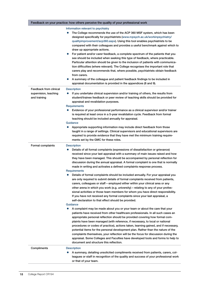|                                                                 | Feedback on your practice: how others perceive the quality of your professional work                                                                                                                                                                                                                                                                                                                                                                                                                                                                                                                                                                                                                                                                                                                                                                                                                                                                                                                                                                                                                                                                                                                                                                                                                                                                                                                                                                                                                                                                                                                                                                                                                                                                                                                    |
|-----------------------------------------------------------------|---------------------------------------------------------------------------------------------------------------------------------------------------------------------------------------------------------------------------------------------------------------------------------------------------------------------------------------------------------------------------------------------------------------------------------------------------------------------------------------------------------------------------------------------------------------------------------------------------------------------------------------------------------------------------------------------------------------------------------------------------------------------------------------------------------------------------------------------------------------------------------------------------------------------------------------------------------------------------------------------------------------------------------------------------------------------------------------------------------------------------------------------------------------------------------------------------------------------------------------------------------------------------------------------------------------------------------------------------------------------------------------------------------------------------------------------------------------------------------------------------------------------------------------------------------------------------------------------------------------------------------------------------------------------------------------------------------------------------------------------------------------------------------------------------------|
|                                                                 | Information relevant to psychiatry<br>The College recommends the use of the ACP 360 MSF system, which has been<br>designed specifically for psychiatrists (www.rcpsych.ac.uk/workinpsychiatry/<br>qualityimprovement/acp360.aspx). Using this tool enables psychiatrists to be<br>compared with their colleagues and provides a useful benchmark against which to<br>draw up appropriate actions.<br>For patient and/or carer feedback, a complete spectrum of the patients that you<br>see should be included when seeking this type of feedback, where practicable.<br>Particular attention should be given to the inclusion of patients with communica-<br>tion difficulties (where relevant). The College recognises the important role that<br>carers play and recommends that, where possible, psychiatrists obtain feedback<br>from carers.<br>A summary of the colleague and patient feedback findings to be included in<br>appraisal documentation is provided in the appendices (8 and 9).                                                                                                                                                                                                                                                                                                                                                                                                                                                                                                                                                                                                                                                                                                                                                                                                    |
| Feedback from clinical<br>supervision, teaching<br>and training | <b>Description</b><br>If you undertake clinical supervision and/or training of others, the results from<br>student/trainee feedback or peer review of teaching skills should be provided for<br>appraisal and revalidation purposes.<br><b>Requirements</b><br>Evidence of your professional performance as a clinical supervisor and/or trainer<br>is required at least once in a 5-year revalidation cycle. Feedback from formal<br>teaching should be included annually for appraisal.<br>Guidance<br>Appropriate supporting information may include direct feedback from those<br>taught in a range of settings. Clinical supervisors and educational supervisors are<br>required to provide evidence that they have met the minimum training require-<br>ments set by the GMC for these roles.                                                                                                                                                                                                                                                                                                                                                                                                                                                                                                                                                                                                                                                                                                                                                                                                                                                                                                                                                                                                     |
| Formal complaints                                               | <b>Description</b><br>Details of all formal complaints (expressions of dissatisfaction or grievance)<br>$\bullet$<br>received since your last appraisal with a summary of main issues raised and how<br>they have been managed. This should be accompanied by personal reflection for<br>discussion during the annual appraisal. A formal complaint is one that is normally<br>made in writing and activates a defined complaints response process.<br>Requirements<br>Details of formal complaints should be included annually. For your appraisal you<br>$\bullet$<br>are only required to submit details of formal complaints received from patients,<br>carers, colleagues or staff – employed either within your clinical area or any<br>other arena in which you work (e.g. university) – relating to any of your profes-<br>sional activities or those team members for whom you have direct responsibility.<br>If you have not received any formal complaints since your last appraisal, a<br>self-declaration to that effect should be provided.<br>Guidance<br>A complaint may be made about you or your team or about the care that your<br>patients have received from other healthcare professionals. In all such cases an<br>appropriate personal reflection should be provided covering how formal com-<br>plaints have been managed (with reference, if necessary, to local or national<br>procedures or codes of practice), actions taken, learning gained, and if necessary,<br>potential items for the personal development plan. Rather than the nature of the<br>complaints themselves, your reflection will be the focus for discussion during the<br>appraisal. Some Colleges and Faculties have developed tools and forms to help to<br>document and structure this reflection. |
| Compliments                                                     | <b>Description</b><br>A summary, detailing unsolicited compliments received from patients, carers, col-<br>leagues or staff in recognition of the quality and success of your professional work<br>or that of your team.                                                                                                                                                                                                                                                                                                                                                                                                                                                                                                                                                                                                                                                                                                                                                                                                                                                                                                                                                                                                                                                                                                                                                                                                                                                                                                                                                                                                                                                                                                                                                                                |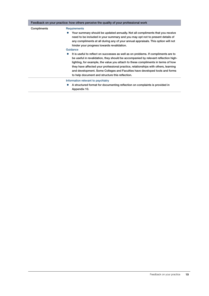|             | Feedback on your practice: how others perceive the quality of your professional work                                                                                                                                                                                                                                                                                                                                                                                                                                                                                                                                                                                                                                                                                                                                                      |
|-------------|-------------------------------------------------------------------------------------------------------------------------------------------------------------------------------------------------------------------------------------------------------------------------------------------------------------------------------------------------------------------------------------------------------------------------------------------------------------------------------------------------------------------------------------------------------------------------------------------------------------------------------------------------------------------------------------------------------------------------------------------------------------------------------------------------------------------------------------------|
| Compliments | <b>Requirements</b><br>Your summary should be updated annually. Not all compliments that you receive<br>need to be included in your summary and you may opt not to present details of<br>any compliments at all during any of your annual appraisals. This option will not<br>hinder your progress towards revalidation.<br>Guidance<br>It is useful to reflect on successes as well as on problems. If compliments are to<br>$\bullet$<br>be useful in revalidation, they should be accompanied by relevant reflection high-<br>lighting, for example, the value you attach to these compliments in terms of how<br>they have affected your professional practice, relationships with others, learning<br>and development. Some Colleges and Faculties have developed tools and forms<br>to help document and structure this reflection. |
|             | Information relevant to psychiatry<br>A structured format for documenting reflection on complaints is provided in<br>Appendix 10.                                                                                                                                                                                                                                                                                                                                                                                                                                                                                                                                                                                                                                                                                                         |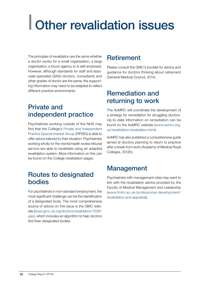# <span id="page-21-0"></span>| Other revalidation issues

The principles of revalidation are the same whether a doctor works for a small organisation, a large organisation, a locum agency or is self-employed. However, although standards for staff and associate specialist (SAS) doctors, consultants and other grades of doctor are the same, the supporting information may need to be adapted to reflect different practice environments.

### Private and independent practice

Psychiatrists working outside of the NHS may find that the College's [Private and Independent](http://www.rcpsych.ac.uk/workinpsychiatry/specialinterestgroups/privateindependentpractice.aspx)  [Practice Special Interest Group](http://www.rcpsych.ac.uk/workinpsychiatry/specialinterestgroups/privateindependentpractice.aspx) (PIPSIG) is able to offer advice tailored to their situation. Psychiatrists working wholly for the mental health review tribunal service are able to revalidate using an adapted revalidation system. More information on this can be found on the College revalidation pages.

### Routes to designated bodies

For psychiatrists in non-standard employment, the most significant challenge can be the identification of a designated body. The most comprehensive source of advice on this issue is the GMC website (www.gmc-uk.org/doctors/revalidation/12387. asp), which includes an algorithm to help doctors find their designated bodies.

### **Retirement**

Please consult the GMC's booklet for advice and guidance for doctors thinking about retirement (General Medical Council, 2014).

### Remediation and returning to work

The AoMRC will coordinate the development of a strategy for remediation for struggling doctors. Up-to-date information on remediation can be found on the AoMRC website (www.aomrc.org. uk/revalidation/revalidation.html).

AoMRC has also published a comprehensive guide aimed at doctors planning to return to practice after a break from work (Academy of Medical Royal Colleges, 2012b).

### Management

Psychiatrists with management roles may want to link with the revalidation advice provided by the Faculty of Medical Management and Leadership (www.fmlm.ac.uk/professional-development/ revalidation-and-appraisal).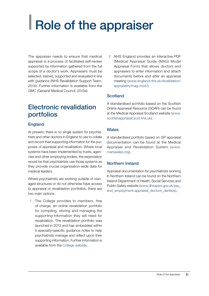# <span id="page-22-0"></span>| Role of the appraiser

The appraiser needs to ensure that medical appraisal is a process of facilitated self-review supported by information gathered from the full scope of a doctor's work. Appraisers must be selected, trained, supported and evaluated in line with guidance (NHS Revalidation Support Team, 2014). Further information is available from the GMC (General Medical Council, 2013a).

### Electronic revalidation portfolios

### England

At present, there is no single system for psychiatrists and other doctors in England to use to collate and record their supporting information for the purposes of appraisal and revalidation. Where local systems have been implemented by trusts, agencies and other employing bodies, the expectation would be that psychiatrists use those systems as they provide crucial organisation-wide data for medical leaders.

Where psychiatrists are working outside of managed structures or do not otherwise have access to appraisal or revalidation portfolios, there are two main options:

1 The College provides to members, free of charge, an online revalidation portfolio for compiling, storing and managing the supporting information they will need for revalidation. The revalidation portfolio was launched in 2013 and has embedded within it specialty-specific guidance notes to help psychiatrists manage and reflect upon their supporting information. Further information is available from the [College website](http://www.rcpsych.ac.uk/workinpsychiatry/revalidation.aspx).

2 NHS England provides an interactive PDF (Medical Appraisal Guide (MAG) Model Appraisal Form) that allows doctors and appraisers to enter information and attach documents before and after an appraisal meeting (www.england.nhs.uk/revalidation/ appraisers/mag-mod/).

### **Scotland**

A standardised portfolio based on the Scottish Online Appraisal Resource (SOAR) can be found at the Medical Appraisal Scotland website (www. scottishappraisal.scot.nhs.uk).

### **Wales**

A standardised portfolio based on GP appraisal documentation can be found at the Medical Appraisal and Revalidation System (www. marswales.org).

### Northern Ireland

Appraisal documentation for psychiatrists working in Northern Ireland can be found on the Northern Ireland Department of Health, Social Services and Public Safety website (www.dhsspsni.gov.uk/pay\_ and employment-appraisal doctors dentists).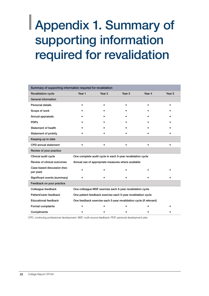## <span id="page-23-0"></span>| Appendix 1. Summary of supporting information required for revalidation

| Summary of supporting information required for revalidation |           |           |                                                                    |           |           |
|-------------------------------------------------------------|-----------|-----------|--------------------------------------------------------------------|-----------|-----------|
| <b>Revalidation cycle</b>                                   | Year 1    | Year 2    | Year <sub>3</sub>                                                  | Year 4    | Year 5    |
| General information                                         |           |           |                                                                    |           |           |
| <b>Personal details</b>                                     |           |           |                                                                    |           |           |
| Scope of work                                               |           |           |                                                                    |           |           |
| Annual appraisals                                           |           |           |                                                                    |           |           |
| <b>PDPs</b>                                                 |           |           |                                                                    |           |           |
| Statement of health                                         |           |           |                                                                    |           |           |
| Statement of probity                                        |           |           |                                                                    |           |           |
| Keeping up to date                                          |           |           |                                                                    |           |           |
| CPD annual statement                                        | $\bullet$ | $\bullet$ |                                                                    | $\bullet$ | $\bullet$ |
| Review of your practice                                     |           |           |                                                                    |           |           |
| Clinical audit cycle                                        |           |           | One complete audit cycle in each 5-year revalidation cycle         |           |           |
| Review of clinical outcomes                                 |           |           | Annual use of appropriate measures where available                 |           |           |
| Case-based discussion (two<br>per year)                     |           |           |                                                                    |           |           |
| Significant events (summary)                                |           |           |                                                                    |           |           |
| Feedback on your practice                                   |           |           |                                                                    |           |           |
| Colleague feedback                                          |           |           | One colleague MSF exercise each 5-year revalidation cycle          |           |           |
| Patient/carer feedback                                      |           |           | One patient feedback exercise each 5-year revalidation cycle       |           |           |
| <b>Educational feedback</b>                                 |           |           | One feedback exercise each 5-year revalidation cycle (if relevant) |           |           |
| Formal complaints                                           |           |           |                                                                    |           |           |
| Compliments                                                 |           |           |                                                                    |           |           |

CPD, continuing professional development; MSF, multi-source feedback; PDP, personal development plan.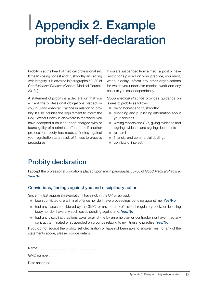## <span id="page-24-0"></span>| Appendix 2. Example probity self-declaration

Probity is at the heart of medical professionalism. It means being honest and trustworthy and acting with integrity. It is covered in paragraphs 53–80 of *Good Medical Practice* (General Medical Council, 2013a).

A statement of probity is a declaration that you accept the professional obligations placed on you in *Good Medical Practice* in relation to probity. It also includes the requirement to inform the GMC without delay if, anywhere in the world, you have accepted a caution, been charged with or found guilty of a criminal offence, or if another professional body has made a finding against your registration as a result of fitness to practise procedures.

If you are suspended from a medical post or have restrictions placed on your practice, you must, without delay, inform any other organisations for which you undertake medical work and any patients you see independently.

*Good Medical Practice* provides guidance on issues of probity as follows:

- $\bullet$  being honest and trustworthy
- **•** providing and publishing information about your services
- writing reports and CVs, giving evidence and signing evidence and signing documents
- $\bullet$  research
- $\bullet$  financial and commercial dealings
- conflicts of interest.

### Probity declaration

I accept the professional obligations placed upon me in paragraphs 53–80 of *Good Medical Practice*: Yes/No

### Convictions, findings against you and disciplinary action

Since my last appraisal/revalidation I have not, in the UK or abroad:

- been convicted of a criminal offence nor do I have proceedings pending against me: Yes/No
- $\bullet$  had any cases considered by the GMC, or any other professional regulatory body, or licensing body nor do I have any such cases pending against me: Yes/No
- $\bullet$  had any disciplinary actions taken against me by an employer or contractor nor have I had any contract terminated or suspended on grounds relating to my fitness to practise: Yes/No

If you do not accept the probity self-declaration or have not been able to answer 'yes' for any of the statements above, please provide details:

| Name:       |  |
|-------------|--|
| GMC number: |  |
|             |  |
|             |  |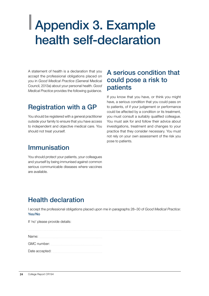## <span id="page-25-0"></span>| Appendix 3. Example health self-declaration

A statement of health is a declaration that you accept the professional obligations placed on you in *Good Medical Practice* (General Medical Council, 2013a) about your personal health. *Good Medical Practice* provides the following guidance.

### Registration with a GP

You should be registered with a general practitioner outside your family to ensure that you have access to independent and objective medical care. You should not treat yourself.

### Immunisation

You should protect your patients, your colleagues and yourself by being immunised against common serious communicable diseases where vaccines are available.

### A serious condition that could pose a risk to patients

If you know that you have, or think you might have, a serious condition that you could pass on to patients, of if your judgement or performance could be affected by a condition or its treatment, you must consult a suitably qualified colleague. You must ask for and follow their advice about investigations, treatment and changes to your practice that they consider necessary. You must not rely on your own assessment of the risk you pose to patients.

## Health declaration

I accept the professional obligations placed upon me in paragraphs 28–30 of *Good Medical Practice*: Yes/No

If 'no' please provide details:

| Name:       |  |
|-------------|--|
| GMC number: |  |

Date accepted: www.wallen.com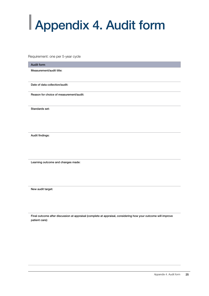# <span id="page-26-0"></span>| Appendix 4. Audit form

Requirement: one per 5-year cycle

| Audit form                              |
|-----------------------------------------|
| Measurement/audit title:                |
|                                         |
|                                         |
| Date of data collection/audit:          |
|                                         |
| Reason for choice of measurement/audit: |
|                                         |
|                                         |
| Standards set:                          |
|                                         |
|                                         |
|                                         |
|                                         |
|                                         |
|                                         |
| Audit findings:                         |
|                                         |

Learning outcome and changes made:

New audit target:

Final outcome after discussion at appraisal (complete at appraisal, considering how your outcome will improve patient care):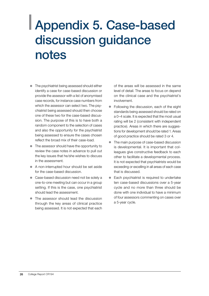## <span id="page-27-0"></span>| Appendix 5. Case-based discussion guidance notes

- The psychiatrist being assessed should either identify a case for case-based discussion or provide the assessor with a list of anonymised case records, for instance case numbers from which the assessor can select two. The psychiatrist being assessed should then choose one of these two for the case-based discussion. The purpose of this is to have both a random component to the selection of cases and also the opportunity for the psychiatrist being assessed to ensure the cases chosen reflect the broad mix of their case-load.
- The assessor should have the opportunity to review the case notes in advance to pull out the key issues that he/she wishes to discuss in the assessment.
- A non-interrupted hour should be set aside for the case-based discussion.
- Case-based discussion need not be solely a one-to-one meeting but can occur in a group setting. If this is the case, one psychiatrist should lead the assessment.
- The assessor should lead the discussion through the key areas of clinical practice being assessed. It is not expected that each

of the areas will be assessed in the same level of detail. The areas to focus on depend on the clinical case and the psychiatrist's involvement.

- Following the discussion, each of the eight standards being assessed should be rated on a 0–4 scale. It is expected that the most usual rating will be 2 (consistent with independent practice). Areas in which there are suggestions for development should be rated 1. Areas of good practice should be rated 3 or 4.
- The main purpose of case-based discussion is developmental. It is important that colleagues give constructive feedback to each other to facilitate a developmental process. It is not expected that psychiatrists would be exceeding or excelling in all areas of each case that is discussed.
- Each psychiatrist is required to undertake ten case-based discussions over a 5-year cycle and no more than three should be done with one individual to have a minimum of four assessors commenting on cases over a 5-year cycle.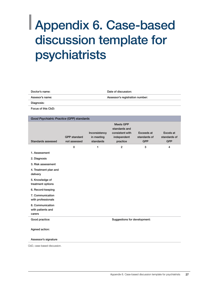## <span id="page-28-0"></span>| Appendix 6. Case-based discussion template for psychiatrists

| Doctor's name:  | Date of discussion:             |
|-----------------|---------------------------------|
| Assesor's name: | Assessor's registration number: |
| Diagnosis:      |                                 |

Focus of this CbD:

| Good Psychiatric Practice (GPP) standards       |                                     |                                          |                                                                                 |                                          |                                         |  |
|-------------------------------------------------|-------------------------------------|------------------------------------------|---------------------------------------------------------------------------------|------------------------------------------|-----------------------------------------|--|
| Standards assessed                              | <b>GPP</b> standard<br>not assessed | Inconsistency<br>in meeting<br>standards | <b>Meets GPP</b><br>standards and<br>consistent with<br>independent<br>practice | Exceeds at<br>standards of<br><b>GPP</b> | Excels at<br>standards of<br><b>GPP</b> |  |
|                                                 | $\mathbf 0$                         | 1                                        | $\overline{2}$                                                                  | 3                                        | $\overline{4}$                          |  |
| 1. Assessment                                   |                                     |                                          |                                                                                 |                                          |                                         |  |
| 2. Diagnosis                                    |                                     |                                          |                                                                                 |                                          |                                         |  |
| 3. Risk assessment                              |                                     |                                          |                                                                                 |                                          |                                         |  |
| 4. Treatment plan and<br>delivery               |                                     |                                          |                                                                                 |                                          |                                         |  |
| 5. Knowledge of<br>treatment options            |                                     |                                          |                                                                                 |                                          |                                         |  |
| 6. Record-keeping                               |                                     |                                          |                                                                                 |                                          |                                         |  |
| 7. Communication<br>with professionals          |                                     |                                          |                                                                                 |                                          |                                         |  |
| 8. Communication<br>with patients and<br>carers |                                     |                                          |                                                                                 |                                          |                                         |  |
| Good practice:                                  |                                     |                                          | Suggestions for development:                                                    |                                          |                                         |  |
| Agreed action:                                  |                                     |                                          |                                                                                 |                                          |                                         |  |
| Assessor's signature                            |                                     |                                          |                                                                                 |                                          |                                         |  |
| CbD, case-based discussion.                     |                                     |                                          |                                                                                 |                                          |                                         |  |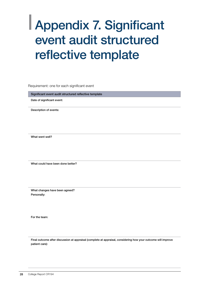## <span id="page-29-0"></span>| Appendix 7. Significant event audit structured reflective template

Requirement: one for each significant event

Significant event audit structured reflective template

Date of significant event:

Description of events:

What went well?

What could have been done better?

What changes have been agreed? Personally:

For the team:

Final outcome after discussion at appraisal (complete at appraisal, considering how your outcome will improve patient care):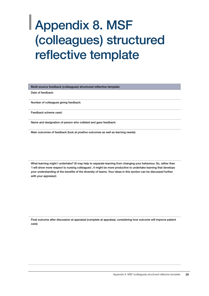## <span id="page-30-0"></span>| Appendix 8. MSF (colleagues) structured reflective template

Multi-source feedback (colleagues) structured reflective template

Date of feedback:

Number of colleagues giving feedback:

Feedback scheme used:

Name and designation of person who collated and gave feedback:

Main outcomes of feedback (look at positive outcomes as well as learning needs):

What learning might I undertake? (It may help to separate learning from changing your behaviour. So, rather than 'I will show more respect to nursing colleagues', it might be more productive to undertake learning that develops your understanding of the benefits of the diversity of teams. Your ideas in this section can be discussed further with your appraiser)

Final outcome after discussion at appraisal (complete at appraisal, considering how outcome will improve patient care):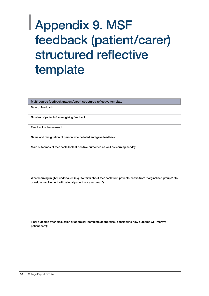## <span id="page-31-0"></span>| Appendix 9. MSF feedback (patient/carer) structured reflective template

Multi-source feedback (patient/carer) structured reflective template

Date of feedback:

Number of patients/carers giving feedback:

Feedback scheme used:

Name and designation of person who collated and gave feedback:

Main outcomes of feedback (look at positive outcomes as well as learning needs):

What learning might I undertake? (e.g. 'to think about feedback from patients/carers from marginalised groups', 'to consider involvement with a local patient or carer group')

Final outcome after discussion at appraisal (complete at appraisal, considering how outcome will improve patient care):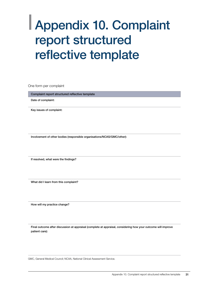## <span id="page-32-0"></span>| Appendix 10. Complaint report structured reflective template

One form per complaint

Complaint report structured reflective template

Date of complaint:

Key issues of complaint:

Involvement of other bodies (responsible organisations/NCAS/GMC/other):

If resolved, what were the findings?

What did I learn from this complaint?

How will my practice change?

Final outcome after discussion at appraisal (complete at appraisal, considering how your outcome will improve patient care):

GMC, General Medical Council; NCAA, National Clinical Assessment Service.